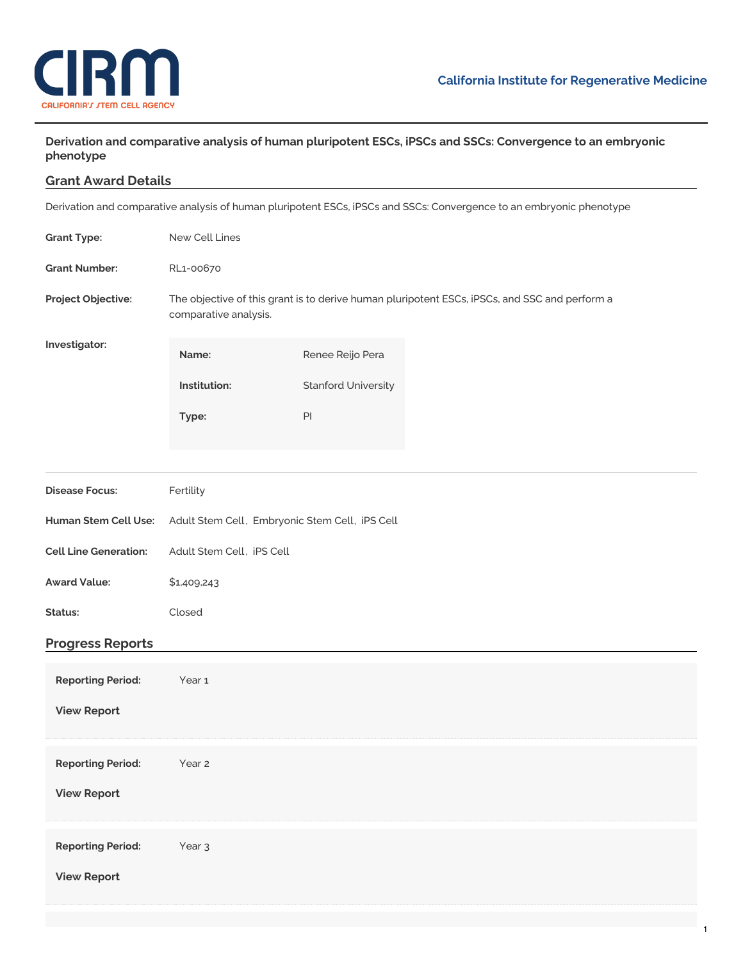

**Derivation and comparative analysis of human pluripotent ESCs, iPSCs and SSCs: Convergence to an embryonic phenotype**

## **Grant Award Details**

Derivation and comparative analysis of human pluripotent ESCs, iPSCs and SSCs: Convergence to an embryonic phenotype

| <b>Grant Type:</b>                             | New Cell Lines                                                                                                         |                            |  |
|------------------------------------------------|------------------------------------------------------------------------------------------------------------------------|----------------------------|--|
| <b>Grant Number:</b>                           | RL1-00670                                                                                                              |                            |  |
| Project Objective:                             | The objective of this grant is to derive human pluripotent ESCs, iPSCs, and SSC and perform a<br>comparative analysis. |                            |  |
| Investigator:                                  | Name:                                                                                                                  | Renee Reijo Pera           |  |
|                                                | Institution:                                                                                                           | <b>Stanford University</b> |  |
|                                                | Type:                                                                                                                  | $\mathsf{Pl}$              |  |
|                                                |                                                                                                                        |                            |  |
| <b>Disease Focus:</b>                          | Fertility                                                                                                              |                            |  |
| Human Stem Cell Use:                           | Adult Stem Cell, Embryonic Stem Cell, iPS Cell                                                                         |                            |  |
| <b>Cell Line Generation:</b>                   | Adult Stem Cell, iPS Cell                                                                                              |                            |  |
| <b>Award Value:</b>                            | \$1,409,243                                                                                                            |                            |  |
| Status:                                        | Closed                                                                                                                 |                            |  |
| <b>Progress Reports</b>                        |                                                                                                                        |                            |  |
| <b>Reporting Period:</b><br><b>View Report</b> | Year 1                                                                                                                 |                            |  |
| <b>Reporting Period:</b><br><b>View Report</b> | Year 2                                                                                                                 |                            |  |
| <b>Reporting Period:</b><br><b>View Report</b> | Year <sub>3</sub>                                                                                                      |                            |  |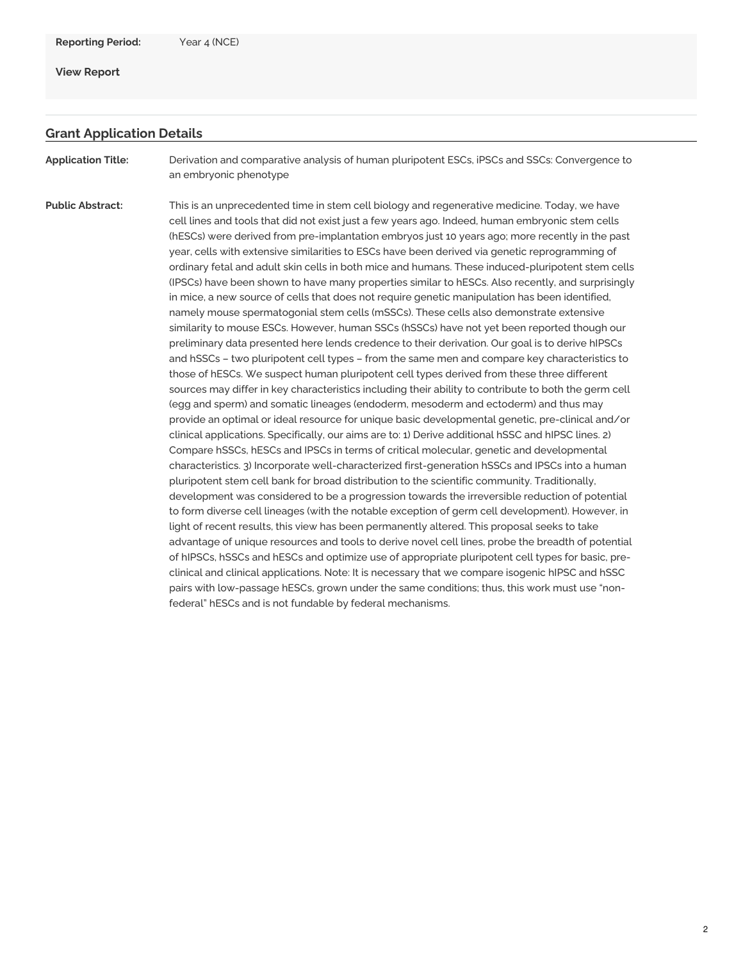## **View [Report](https://www.cirm.ca.gov/our-progress/awards/derivation-and-comparative-analysis-human-pluripotent-escs-ipscs-and-sscs#)**

## **Grant Application Details**

**Application Title:** Derivation and comparative analysis of human pluripotent ESCs, iPSCs and SSCs: Convergence to an embryonic phenotype

**Public Abstract:** This is an unprecedented time in stem cell biology and regenerative medicine. Today, we have cell lines and tools that did not exist just a few years ago. Indeed, human embryonic stem cells (hESCs) were derived from pre-implantation embryos just 10 years ago; more recently in the past year, cells with extensive similarities to ESCs have been derived via genetic reprogramming of ordinary fetal and adult skin cells in both mice and humans. These induced-pluripotent stem cells (IPSCs) have been shown to have many properties similar to hESCs. Also recently, and surprisingly in mice, a new source of cells that does not require genetic manipulation has been identified, namely mouse spermatogonial stem cells (mSSCs). These cells also demonstrate extensive similarity to mouse ESCs. However, human SSCs (hSSCs) have not yet been reported though our preliminary data presented here lends credence to their derivation. Our goal is to derive hIPSCs and hSSCs – two pluripotent cell types – from the same men and compare key characteristics to those of hESCs. We suspect human pluripotent cell types derived from these three different sources may differ in key characteristics including their ability to contribute to both the germ cell (egg and sperm) and somatic lineages (endoderm, mesoderm and ectoderm) and thus may provide an optimal or ideal resource for unique basic developmental genetic, pre-clinical and/or clinical applications. Specifically, our aims are to: 1) Derive additional hSSC and hIPSC lines. 2) Compare hSSCs, hESCs and IPSCs in terms of critical molecular, genetic and developmental characteristics. 3) Incorporate well-characterized first-generation hSSCs and IPSCs into a human pluripotent stem cell bank for broad distribution to the scientific community. Traditionally, development was considered to be a progression towards the irreversible reduction of potential to form diverse cell lineages (with the notable exception of germ cell development). However, in light of recent results, this view has been permanently altered. This proposal seeks to take advantage of unique resources and tools to derive novel cell lines, probe the breadth of potential of hIPSCs, hSSCs and hESCs and optimize use of appropriate pluripotent cell types for basic, preclinical and clinical applications. Note: It is necessary that we compare isogenic hIPSC and hSSC pairs with low-passage hESCs, grown under the same conditions; thus, this work must use "nonfederal" hESCs and is not fundable by federal mechanisms.